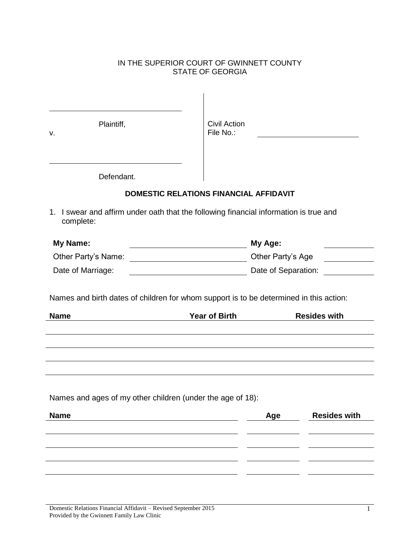### IN THE SUPERIOR COURT OF GWINNETT COUNTY STATE OF GEORGIA

| Plaintiff,<br>v.    | <b>Civil Action</b><br>File No.:                                                                               |                     |
|---------------------|----------------------------------------------------------------------------------------------------------------|---------------------|
| Defendant.          |                                                                                                                |                     |
|                     | <b>DOMESTIC RELATIONS FINANCIAL AFFIDAVIT</b>                                                                  |                     |
| complete:           | 1. I swear and affirm under oath that the following financial information is true and                          |                     |
| <b>My Name:</b>     | My Age:<br><u> 1989 - Johann Barn, mars an t-Amerikaansk ferskeizh (</u>                                       |                     |
|                     |                                                                                                                |                     |
| Other Party's Name: | Other Party's Age                                                                                              |                     |
| Date of Marriage:   | Date of Separation:                                                                                            |                     |
| <b>Name</b>         | Names and birth dates of children for whom support is to be determined in this action:<br><b>Year of Birth</b> | <b>Resides with</b> |
|                     |                                                                                                                |                     |
|                     | Names and ages of my other children (under the age of 18):                                                     |                     |
| <b>Name</b>         | Age                                                                                                            | <b>Resides with</b> |
|                     |                                                                                                                |                     |
|                     |                                                                                                                |                     |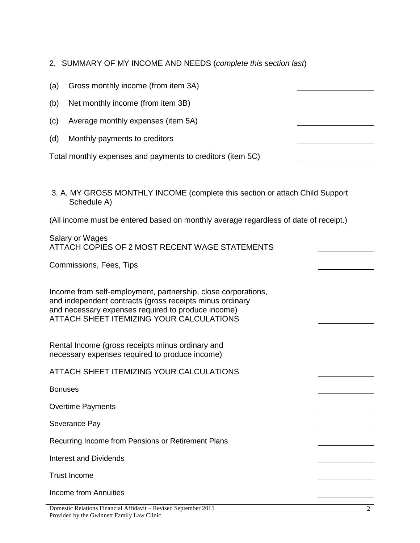- 2. SUMMARY OF MY INCOME AND NEEDS (*complete this section last*)
- (a) Gross monthly income (from item 3A)
- (b) Net monthly income (from item 3B)
- (c) Average monthly expenses (item 5A)
- (d) Monthly payments to creditors

Total monthly expenses and payments to creditors (item 5C)

3. A. MY GROSS MONTHLY INCOME (complete this section or attach Child Support Schedule A)

(All income must be entered based on monthly average regardless of date of receipt.)

| Salary or Wages<br>ATTACH COPIES OF 2 MOST RECENT WAGE STATEMENTS                                                                                                                                                           |  |
|-----------------------------------------------------------------------------------------------------------------------------------------------------------------------------------------------------------------------------|--|
| Commissions, Fees, Tips                                                                                                                                                                                                     |  |
| Income from self-employment, partnership, close corporations,<br>and independent contracts (gross receipts minus ordinary<br>and necessary expenses required to produce income)<br>ATTACH SHEET ITEMIZING YOUR CALCULATIONS |  |
| Rental Income (gross receipts minus ordinary and<br>necessary expenses required to produce income)                                                                                                                          |  |
| ATTACH SHEET ITEMIZING YOUR CALCULATIONS                                                                                                                                                                                    |  |
| <b>Bonuses</b>                                                                                                                                                                                                              |  |
| <b>Overtime Payments</b>                                                                                                                                                                                                    |  |
| Severance Pay                                                                                                                                                                                                               |  |
| Recurring Income from Pensions or Retirement Plans                                                                                                                                                                          |  |
| <b>Interest and Dividends</b>                                                                                                                                                                                               |  |
| <b>Trust Income</b>                                                                                                                                                                                                         |  |
| Income from Annuities                                                                                                                                                                                                       |  |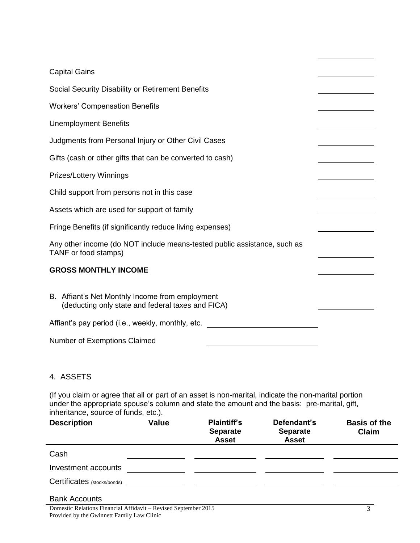| <b>Capital Gains</b>                                                                                 |  |
|------------------------------------------------------------------------------------------------------|--|
| Social Security Disability or Retirement Benefits                                                    |  |
| <b>Workers' Compensation Benefits</b>                                                                |  |
| <b>Unemployment Benefits</b>                                                                         |  |
| Judgments from Personal Injury or Other Civil Cases                                                  |  |
| Gifts (cash or other gifts that can be converted to cash)                                            |  |
| <b>Prizes/Lottery Winnings</b>                                                                       |  |
| Child support from persons not in this case                                                          |  |
| Assets which are used for support of family                                                          |  |
| Fringe Benefits (if significantly reduce living expenses)                                            |  |
| Any other income (do NOT include means-tested public assistance, such as<br>TANF or food stamps)     |  |
| <b>GROSS MONTHLY INCOME</b>                                                                          |  |
| B. Affiant's Net Monthly Income from employment<br>(deducting only state and federal taxes and FICA) |  |
| Affiant's pay period (i.e., weekly, monthly, etc.                                                    |  |
| <b>Number of Exemptions Claimed</b>                                                                  |  |

## 4. ASSETS

(If you claim or agree that all or part of an asset is non-marital, indicate the non-marital portion under the appropriate spouse's column and state the amount and the basis: pre-marital, gift, inheritance, source of funds, etc.).

| <b>Description</b>          | <b>Value</b> | <b>Plaintiff's</b><br><b>Separate</b><br><b>Asset</b> | Defendant's<br><b>Separate</b><br><b>Asset</b> | <b>Basis of the</b><br>Claim |
|-----------------------------|--------------|-------------------------------------------------------|------------------------------------------------|------------------------------|
| Cash                        |              |                                                       |                                                |                              |
| Investment accounts         |              |                                                       |                                                |                              |
| Certificates (stocks/bonds) |              |                                                       |                                                |                              |

#### Bank Accounts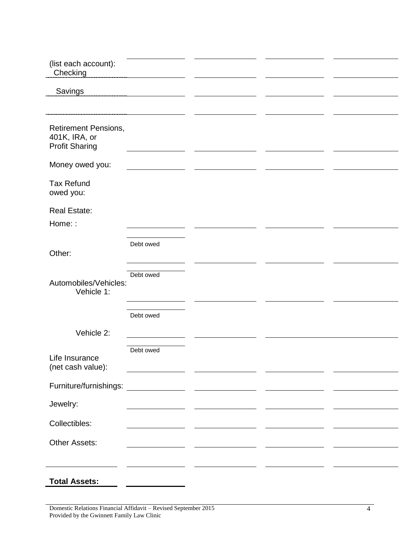| (list each account):<br>Checking                                      |                                                |                                                           |  |
|-----------------------------------------------------------------------|------------------------------------------------|-----------------------------------------------------------|--|
| <b>Savings</b>                                                        |                                                |                                                           |  |
|                                                                       |                                                |                                                           |  |
| <b>Retirement Pensions,</b><br>401K, IRA, or<br><b>Profit Sharing</b> |                                                |                                                           |  |
| Money owed you:                                                       |                                                |                                                           |  |
| <b>Tax Refund</b><br>owed you:                                        |                                                |                                                           |  |
| <b>Real Estate:</b>                                                   |                                                |                                                           |  |
| Home::                                                                |                                                |                                                           |  |
| Other:                                                                | Debt owed                                      |                                                           |  |
| Automobiles/Vehicles:<br>Vehicle 1:                                   | Debt owed                                      |                                                           |  |
|                                                                       | Debt owed                                      |                                                           |  |
| Vehicle 2:                                                            |                                                |                                                           |  |
| Life Insurance<br>(net cash value):                                   | Debt owed                                      |                                                           |  |
|                                                                       |                                                |                                                           |  |
| Jewelry:                                                              |                                                | <u> 1989 - Johann Barnett, fransk politiker (d. 1989)</u> |  |
| Collectibles:                                                         | <u> 1989 - Johann Barnett, fransk kongresu</u> |                                                           |  |
| Other Assets:                                                         | the contract of the contract of the            |                                                           |  |
|                                                                       |                                                |                                                           |  |
| <b>Total Assets:</b>                                                  |                                                |                                                           |  |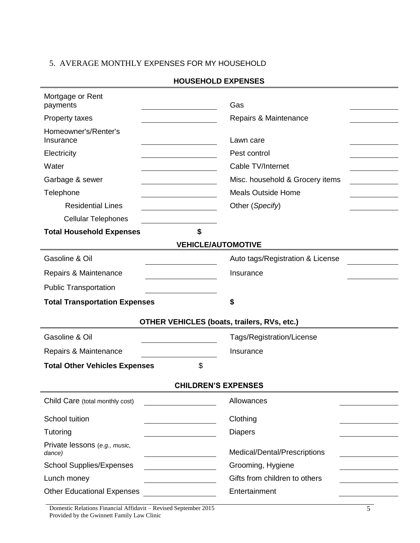# 5. AVERAGE MONTHLY EXPENSES FOR MY HOUSEHOLD

| Mortgage or Rent<br>payments               | Gas                                                |
|--------------------------------------------|----------------------------------------------------|
| Property taxes                             | Repairs & Maintenance                              |
| Homeowner's/Renter's<br>Insurance          | Lawn care                                          |
| Electricity                                | Pest control                                       |
| Water                                      | Cable TV/Internet                                  |
| Garbage & sewer                            | Misc. household & Grocery items                    |
| Telephone                                  | <b>Meals Outside Home</b>                          |
| <b>Residential Lines</b>                   | Other (Specify)                                    |
| <b>Cellular Telephones</b>                 |                                                    |
| \$<br><b>Total Household Expenses</b>      |                                                    |
|                                            | <b>VEHICLE/AUTOMOTIVE</b>                          |
| Gasoline & Oil                             | Auto tags/Registration & License                   |
| Repairs & Maintenance                      | Insurance                                          |
| <b>Public Transportation</b>               |                                                    |
|                                            |                                                    |
| <b>Total Transportation Expenses</b>       | \$                                                 |
|                                            | <b>OTHER VEHICLES (boats, trailers, RVs, etc.)</b> |
| Gasoline & Oil                             | Tags/Registration/License                          |
| Repairs & Maintenance                      | Insurance                                          |
| \$<br><b>Total Other Vehicles Expenses</b> |                                                    |
|                                            | <b>CHILDREN'S EXPENSES</b>                         |
| Child Care (total monthly cost)            | Allowances                                         |
|                                            |                                                    |
| School tuition<br>Tutoring                 | Clothing<br><b>Diapers</b>                         |
| Private lessons (e.g., music,<br>dance)    | Medical/Dental/Prescriptions                       |
| <b>School Supplies/Expenses</b>            | Grooming, Hygiene                                  |
| Lunch money                                | Gifts from children to others                      |
| <b>Other Educational Expenses</b>          | Entertainment                                      |

Domestic Relations Financial Affidavit – Revised September 2015 Provided by the Gwinnett Family Law Clinic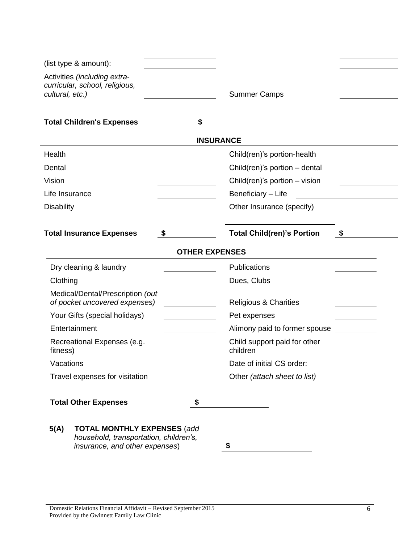| (list type & amount):                                                                                                  |                       |                                          |    |
|------------------------------------------------------------------------------------------------------------------------|-----------------------|------------------------------------------|----|
| Activities (including extra-<br>curricular, school, religious,<br>cultural, etc.)                                      |                       | <b>Summer Camps</b>                      |    |
| <b>Total Children's Expenses</b>                                                                                       | \$                    |                                          |    |
|                                                                                                                        | <b>INSURANCE</b>      |                                          |    |
| Health                                                                                                                 |                       | Child(ren)'s portion-health              |    |
| Dental                                                                                                                 |                       | Child(ren)'s portion $-$ dental          |    |
| Vision                                                                                                                 |                       | Child(ren)'s portion $-$ vision          |    |
| Life Insurance                                                                                                         |                       | Beneficiary - Life                       |    |
| <b>Disability</b>                                                                                                      |                       | Other Insurance (specify)                |    |
| <b>Total Insurance Expenses</b>                                                                                        | \$                    | <b>Total Child(ren)'s Portion</b>        | \$ |
|                                                                                                                        | <b>OTHER EXPENSES</b> |                                          |    |
| Dry cleaning & laundry                                                                                                 |                       | Publications                             |    |
| Clothing                                                                                                               |                       | Dues, Clubs                              |    |
| Medical/Dental/Prescription (out<br>of pocket uncovered expenses)                                                      |                       | <b>Religious &amp; Charities</b>         |    |
| Your Gifts (special holidays)                                                                                          |                       | Pet expenses                             |    |
| Entertainment                                                                                                          |                       | Alimony paid to former spouse            |    |
| Recreational Expenses (e.g.<br>fitness)                                                                                |                       | Child support paid for other<br>children |    |
| Vacations                                                                                                              |                       | Date of initial CS order:                |    |
| Travel expenses for visitation                                                                                         |                       | Other (attach sheet to list)             |    |
| <b>Total Other Expenses</b>                                                                                            |                       |                                          |    |
| 5(A)<br><b>TOTAL MONTHLY EXPENSES (add</b><br>household, transportation, children's,<br>insurance, and other expenses) |                       |                                          |    |